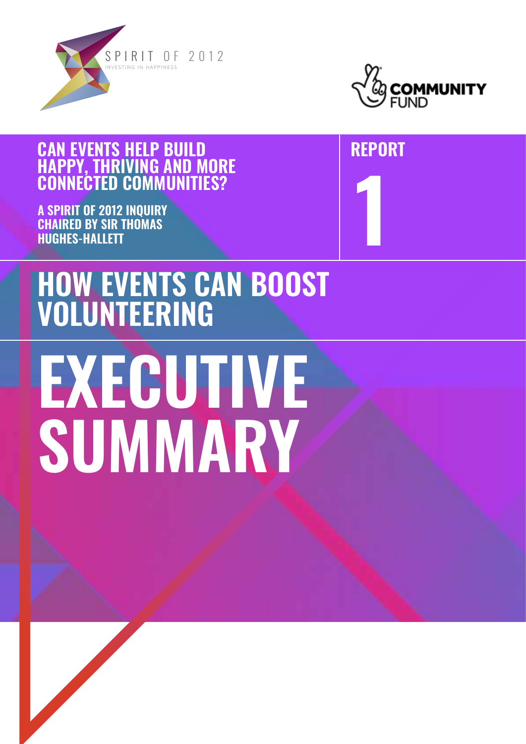



**1**

**REPORT**

## **CAN EVENTS HELP BUILD HAPPY, THRIVING AND MORE CONNECTED COMMUNITIES?**

**A SPIRIT OF 2012 INQUIRY CHAIRED BY SIR THOMAS HUGHES-HALLETT**

## **HOW EVENTS CAN BOOST VOLUNTEERING**

# **EXECUTIVE SUMMARY**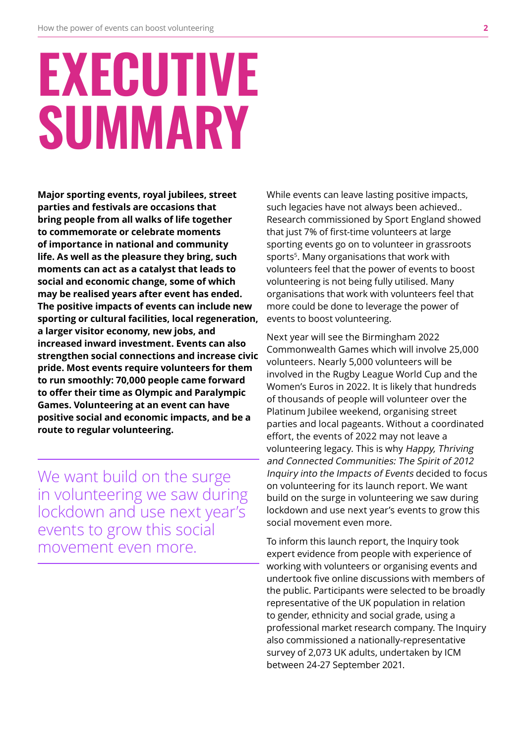## **EXECUTIVE SUMMARY**

**Major sporting events, royal jubilees, street parties and festivals are occasions that bring people from all walks of life together to commemorate or celebrate moments of importance in national and community life. As well as the pleasure they bring, such moments can act as a catalyst that leads to social and economic change, some of which may be realised years after event has ended. The positive impacts of events can include new sporting or cultural facilities, local regeneration, a larger visitor economy, new jobs, and increased inward investment. Events can also strengthen social connections and increase civic pride. Most events require volunteers for them to run smoothly: 70,000 people came forward to offer their time as Olympic and Paralympic Games. Volunteering at an event can have positive social and economic impacts, and be a route to regular volunteering.** 

We want build on the surge in volunteering we saw during lockdown and use next year's events to grow this social movement even more.

While events can leave lasting positive impacts, such legacies have not always been achieved.. Research commissioned by Sport England showed that just 7% of first-time volunteers at large sporting events go on to volunteer in grassroots sports<sup>5</sup>. Many organisations that work with volunteers feel that the power of events to boost volunteering is not being fully utilised. Many organisations that work with volunteers feel that more could be done to leverage the power of events to boost volunteering.

Next year will see the Birmingham 2022 Commonwealth Games which will involve 25,000 volunteers. Nearly 5,000 volunteers will be involved in the Rugby League World Cup and the Women's Euros in 2022. It is likely that hundreds of thousands of people will volunteer over the Platinum Jubilee weekend, organising street parties and local pageants. Without a coordinated effort, the events of 2022 may not leave a volunteering legacy. This is why Happy, Thriving and Connected Communities: The Spirit of 2012 Inquiry into the Impacts of Events decided to focus on volunteering for its launch report. We want build on the surge in volunteering we saw during lockdown and use next year's events to grow this social movement even more.

To inform this launch report, the Inquiry took expert evidence from people with experience of working with volunteers or organising events and undertook five online discussions with members of the public. Participants were selected to be broadly representative of the UK population in relation to gender, ethnicity and social grade, using a professional market research company. The Inquiry also commissioned a nationally-representative survey of 2,073 UK adults, undertaken by ICM between 24-27 September 2021.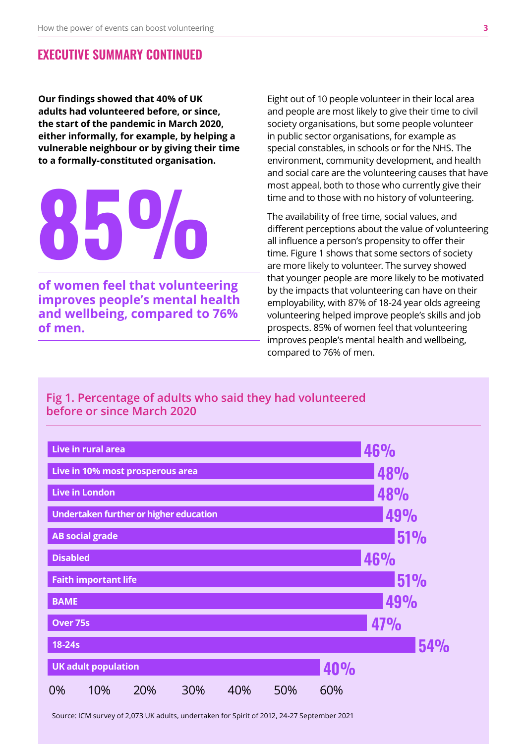## **EXECUTIVE SUMMARY CONTINUED**

**Our findings showed that 40% of UK adults had volunteered before, or since, the start of the pandemic in March 2020, either informally, for example, by helping a vulnerable neighbour or by giving their time to a formally-constituted organisation.**

## **of women feel that volunteering 85%**

**improves people's mental health and wellbeing, compared to 76% of men.**

Eight out of 10 people volunteer in their local area and people are most likely to give their time to civil society organisations, but some people volunteer in public sector organisations, for example as special constables, in schools or for the NHS. The environment, community development, and health and social care are the volunteering causes that have most appeal, both to those who currently give their time and to those with no history of volunteering.

The availability of free time, social values, and different perceptions about the value of volunteering all influence a person's propensity to offer their time. Figure 1 shows that some sectors of society are more likely to volunteer. The survey showed that younger people are more likely to be motivated by the impacts that volunteering can have on their employability, with 87% of 18-24 year olds agreeing volunteering helped improve people's skills and job prospects. 85% of women feel that volunteering improves people's mental health and wellbeing, compared to 76% of men.

## **Fig 1. Percentage of adults who said they had volunteered before or since March 2020**



Source: ICM survey of 2,073 UK adults, undertaken for Spirit of 2012, 24-27 September 2021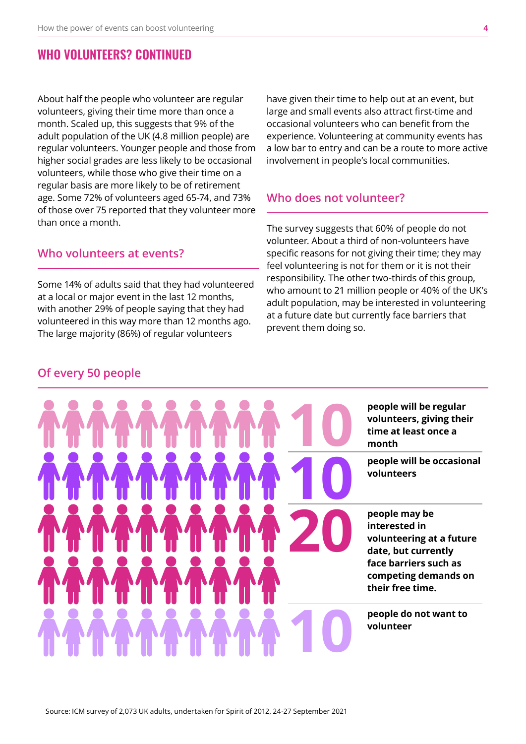## **WHO VOLUNTEERS? CONTINUED**

About half the people who volunteer are regular volunteers, giving their time more than once a month. Scaled up, this suggests that 9% of the adult population of the UK (4.8 million people) are regular volunteers. Younger people and those from higher social grades are less likely to be occasional volunteers, while those who give their time on a regular basis are more likely to be of retirement age. Some 72% of volunteers aged 65-74, and 73% of those over 75 reported that they volunteer more than once a month.

#### **Who volunteers at events?**

Some 14% of adults said that they had volunteered at a local or major event in the last 12 months, with another 29% of people saying that they had volunteered in this way more than 12 months ago. The large majority (86%) of regular volunteers

have given their time to help out at an event, but large and small events also attract first-time and occasional volunteers who can benefit from the experience. Volunteering at community events has a low bar to entry and can be a route to more active involvement in people's local communities.

## **Who does not volunteer?**

The survey suggests that 60% of people do not volunteer. About a third of non-volunteers have specific reasons for not giving their time; they may feel volunteering is not for them or it is not their responsibility. The other two-thirds of this group, who amount to 21 million people or 40% of the UK's adult population, may be interested in volunteering at a future date but currently face barriers that prevent them doing so.

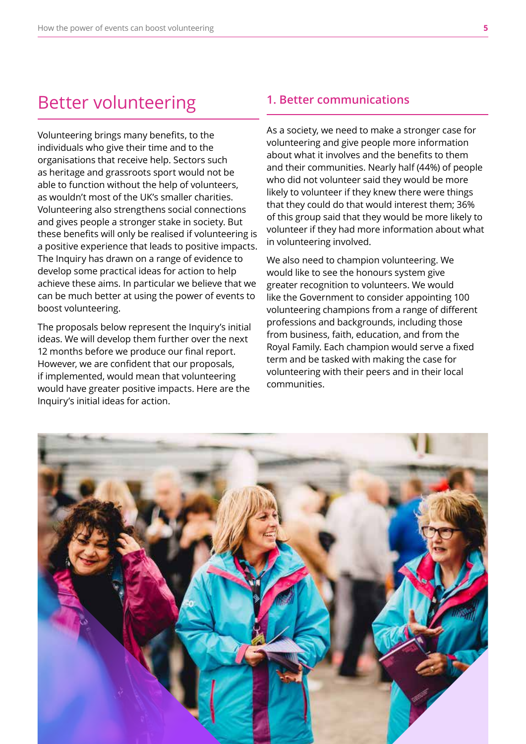## Better volunteering

Volunteering brings many benefits, to the individuals who give their time and to the organisations that receive help. Sectors such as heritage and grassroots sport would not be able to function without the help of volunteers, as wouldn't most of the UK's smaller charities. Volunteering also strengthens social connections and gives people a stronger stake in society. But these benefits will only be realised if volunteering is a positive experience that leads to positive impacts. The Inquiry has drawn on a range of evidence to develop some practical ideas for action to help achieve these aims. In particular we believe that we can be much better at using the power of events to boost volunteering.

The proposals below represent the Inquiry's initial ideas. We will develop them further over the next 12 months before we produce our final report. However, we are confident that our proposals, if implemented, would mean that volunteering would have greater positive impacts. Here are the Inquiry's initial ideas for action.

#### **1. Better communications**

As a society, we need to make a stronger case for volunteering and give people more information about what it involves and the benefits to them and their communities. Nearly half (44%) of people who did not volunteer said they would be more likely to volunteer if they knew there were things that they could do that would interest them; 36% of this group said that they would be more likely to volunteer if they had more information about what in volunteering involved.

We also need to champion volunteering. We would like to see the honours system give greater recognition to volunteers. We would like the Government to consider appointing 100 volunteering champions from a range of different professions and backgrounds, including those from business, faith, education, and from the Royal Family. Each champion would serve a fixed term and be tasked with making the case for volunteering with their peers and in their local communities.

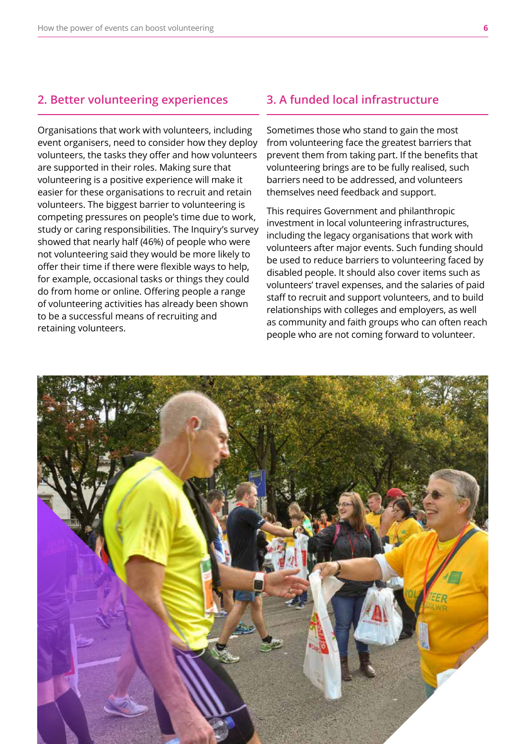### **2. Better volunteering experiences**

Organisations that work with volunteers, including event organisers, need to consider how they deploy volunteers, the tasks they offer and how volunteers are supported in their roles. Making sure that volunteering is a positive experience will make it easier for these organisations to recruit and retain volunteers. The biggest barrier to volunteering is competing pressures on people's time due to work, study or caring responsibilities. The Inquiry's survey showed that nearly half (46%) of people who were not volunteering said they would be more likely to offer their time if there were flexible ways to help, for example, occasional tasks or things they could do from home or online. Offering people a range of volunteering activities has already been shown to be a successful means of recruiting and retaining volunteers.

### **3. A funded local infrastructure**

Sometimes those who stand to gain the most from volunteering face the greatest barriers that prevent them from taking part. If the benefits that volunteering brings are to be fully realised, such barriers need to be addressed, and volunteers themselves need feedback and support.

This requires Government and philanthropic investment in local volunteering infrastructures, including the legacy organisations that work with volunteers after major events. Such funding should be used to reduce barriers to volunteering faced by disabled people. It should also cover items such as volunteers' travel expenses, and the salaries of paid staff to recruit and support volunteers, and to build relationships with colleges and employers, as well as community and faith groups who can often reach people who are not coming forward to volunteer.

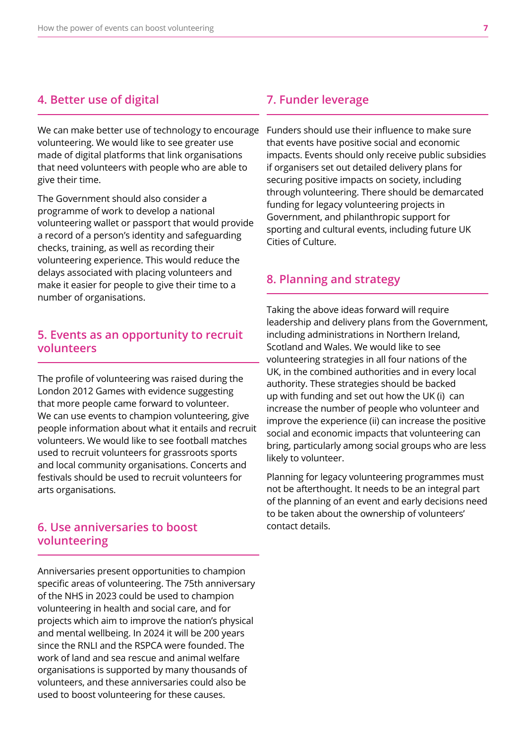### **4. Better use of digital**

We can make better use of technology to encourage volunteering. We would like to see greater use made of digital platforms that link organisations that need volunteers with people who are able to give their time.

The Government should also consider a programme of work to develop a national volunteering wallet or passport that would provide a record of a person's identity and safeguarding checks, training, as well as recording their volunteering experience. This would reduce the delays associated with placing volunteers and make it easier for people to give their time to a number of organisations.

## **5. Events as an opportunity to recruit volunteers**

The profile of volunteering was raised during the London 2012 Games with evidence suggesting that more people came forward to volunteer. We can use events to champion volunteering, give people information about what it entails and recruit volunteers. We would like to see football matches used to recruit volunteers for grassroots sports and local community organisations. Concerts and festivals should be used to recruit volunteers for arts organisations.

## **6. Use anniversaries to boost volunteering**

Anniversaries present opportunities to champion specific areas of volunteering. The 75th anniversary of the NHS in 2023 could be used to champion volunteering in health and social care, and for projects which aim to improve the nation's physical and mental wellbeing. In 2024 it will be 200 years since the RNLI and the RSPCA were founded. The work of land and sea rescue and animal welfare organisations is supported by many thousands of volunteers, and these anniversaries could also be used to boost volunteering for these causes.

## **7. Funder leverage**

Funders should use their influence to make sure that events have positive social and economic impacts. Events should only receive public subsidies if organisers set out detailed delivery plans for securing positive impacts on society, including through volunteering. There should be demarcated funding for legacy volunteering projects in Government, and philanthropic support for sporting and cultural events, including future UK Cities of Culture.

## **8. Planning and strategy**

Taking the above ideas forward will require leadership and delivery plans from the Government, including administrations in Northern Ireland, Scotland and Wales. We would like to see volunteering strategies in all four nations of the UK, in the combined authorities and in every local authority. These strategies should be backed up with funding and set out how the UK (i) can increase the number of people who volunteer and improve the experience (ii) can increase the positive social and economic impacts that volunteering can bring, particularly among social groups who are less likely to volunteer.

Planning for legacy volunteering programmes must not be afterthought. It needs to be an integral part of the planning of an event and early decisions need to be taken about the ownership of volunteers' contact details.